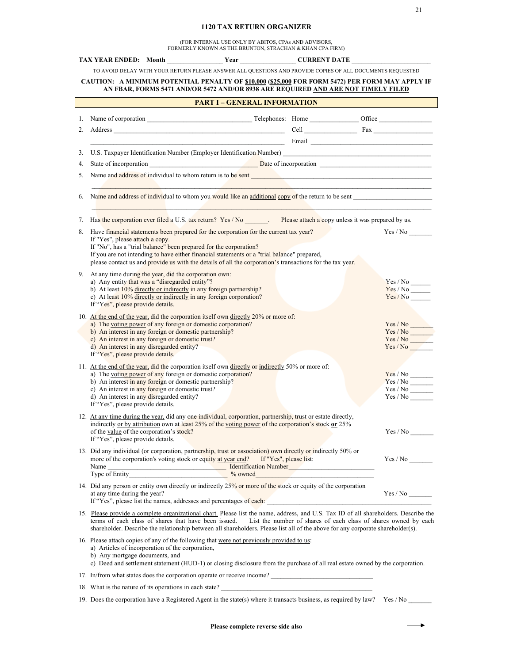## **1120 TAX RETURN ORGANIZER**

(FOR INTERNAL USE ONLY BY ABITOS, CPAs AND ADVISORS, FORMERLY KNOWN AS THE BRUNTON, STRACHAN & KHAN CPA FIRM)

|                                                                                                                                                                                      |                                                                                |                                                                                                                               | TAX YEAR ENDED: Month Year Year CURRENT DATE                                                                                                                                                                                                            |  |  |                         |  |  |
|--------------------------------------------------------------------------------------------------------------------------------------------------------------------------------------|--------------------------------------------------------------------------------|-------------------------------------------------------------------------------------------------------------------------------|---------------------------------------------------------------------------------------------------------------------------------------------------------------------------------------------------------------------------------------------------------|--|--|-------------------------|--|--|
|                                                                                                                                                                                      |                                                                                |                                                                                                                               | TO AVOID DELAY WITH YOUR RETURN PLEASE ANSWER ALL QUESTIONS AND PROVIDE COPIES OF ALL DOCUMENTS REQUESTED                                                                                                                                               |  |  |                         |  |  |
| CAUTION: A MINIMUM POTENTIAL PENALTY OF \$10,000 (\$25,000 FOR FORM 5472) PER FORM MAY APPLY IF<br>AN FBAR, FORMS 5471 AND/OR 5472 AND/OR 8938 ARE REQUIRED AND ARE NOT TIMELY FILED |                                                                                |                                                                                                                               |                                                                                                                                                                                                                                                         |  |  |                         |  |  |
| <b>PART I - GENERAL INFORMATION</b><br><u> 1990 - Jan James Barnett, mars et al. 1990 - Jan Jan James Barnett, mars et al. 1991 - Jan Jan Jan Jan Jan Ja</u>                         |                                                                                |                                                                                                                               |                                                                                                                                                                                                                                                         |  |  |                         |  |  |
|                                                                                                                                                                                      |                                                                                |                                                                                                                               |                                                                                                                                                                                                                                                         |  |  |                         |  |  |
| 2.                                                                                                                                                                                   |                                                                                |                                                                                                                               |                                                                                                                                                                                                                                                         |  |  |                         |  |  |
|                                                                                                                                                                                      |                                                                                |                                                                                                                               |                                                                                                                                                                                                                                                         |  |  |                         |  |  |
|                                                                                                                                                                                      |                                                                                |                                                                                                                               | 3. U.S. Taxpayer Identification Number (Employer Identification Number)                                                                                                                                                                                 |  |  |                         |  |  |
| 4.                                                                                                                                                                                   |                                                                                |                                                                                                                               |                                                                                                                                                                                                                                                         |  |  |                         |  |  |
|                                                                                                                                                                                      |                                                                                |                                                                                                                               | 5. Name and address of individual to whom return is to be sent                                                                                                                                                                                          |  |  |                         |  |  |
|                                                                                                                                                                                      |                                                                                |                                                                                                                               |                                                                                                                                                                                                                                                         |  |  |                         |  |  |
|                                                                                                                                                                                      |                                                                                |                                                                                                                               | 6. Name and address of individual to whom you would like an additional copy of the return to be sent<br>the control of the control of the control of the control of the control of the control of                                                       |  |  |                         |  |  |
|                                                                                                                                                                                      |                                                                                | 7. Has the corporation ever filed a U.S. tax return? Yes / No Please attach a copy unless it was prepared by us.              |                                                                                                                                                                                                                                                         |  |  |                         |  |  |
|                                                                                                                                                                                      |                                                                                |                                                                                                                               | 8. Have financial statements been prepared for the corporation for the current tax year?                                                                                                                                                                |  |  | Yes / No                |  |  |
|                                                                                                                                                                                      | If "Yes", please attach a copy.                                                |                                                                                                                               | If "No", has a "trial balance" been prepared for the corporation?                                                                                                                                                                                       |  |  |                         |  |  |
|                                                                                                                                                                                      |                                                                                |                                                                                                                               | If you are not intending to have either financial statements or a "trial balance" prepared,                                                                                                                                                             |  |  |                         |  |  |
|                                                                                                                                                                                      |                                                                                |                                                                                                                               | please contact us and provide us with the details of all the corporation's transactions for the tax year.                                                                                                                                               |  |  |                         |  |  |
|                                                                                                                                                                                      | 9. At any time during the year, did the corporation own:                       |                                                                                                                               |                                                                                                                                                                                                                                                         |  |  |                         |  |  |
|                                                                                                                                                                                      | a) Any entity that was a "disregarded entity"?                                 |                                                                                                                               | b) At least $10\%$ directly or indirectly in any foreign partnership?                                                                                                                                                                                   |  |  |                         |  |  |
|                                                                                                                                                                                      |                                                                                |                                                                                                                               | c) At least 10% directly or indirectly in any foreign corporation?                                                                                                                                                                                      |  |  | Yes/No                  |  |  |
|                                                                                                                                                                                      | If "Yes", please provide details.                                              |                                                                                                                               |                                                                                                                                                                                                                                                         |  |  |                         |  |  |
|                                                                                                                                                                                      |                                                                                |                                                                                                                               | 10. At the end of the year, did the corporation itself own directly 20% or more of:<br>a) The voting power of any foreign or domestic corporation?                                                                                                      |  |  |                         |  |  |
|                                                                                                                                                                                      | b) An interest in any foreign or domestic partnership?                         |                                                                                                                               |                                                                                                                                                                                                                                                         |  |  | Yes / No<br>Yes / No    |  |  |
|                                                                                                                                                                                      | c) An interest in any foreign or domestic trust?                               |                                                                                                                               |                                                                                                                                                                                                                                                         |  |  | Yes / No                |  |  |
|                                                                                                                                                                                      | d) An interest in any disregarded entity?<br>If "Yes", please provide details. |                                                                                                                               |                                                                                                                                                                                                                                                         |  |  | Yes / No                |  |  |
|                                                                                                                                                                                      |                                                                                |                                                                                                                               |                                                                                                                                                                                                                                                         |  |  |                         |  |  |
|                                                                                                                                                                                      |                                                                                |                                                                                                                               | 11. At the end of the year, did the corporation itself own directly or indirectly 50% or more of:<br>a) The voting power of any foreign or domestic corporation?                                                                                        |  |  |                         |  |  |
|                                                                                                                                                                                      | b) An interest in any foreign or domestic partnership?                         |                                                                                                                               |                                                                                                                                                                                                                                                         |  |  | $Yes / No$ <sup>-</sup> |  |  |
|                                                                                                                                                                                      | c) An interest in any foreign or domestic trust?                               |                                                                                                                               |                                                                                                                                                                                                                                                         |  |  |                         |  |  |
|                                                                                                                                                                                      | d) An interest in any disregarded entity?<br>If "Yes", please provide details. |                                                                                                                               |                                                                                                                                                                                                                                                         |  |  |                         |  |  |
|                                                                                                                                                                                      |                                                                                |                                                                                                                               | 12. At any time during the year, did any one individual, corporation, partnership, trust or estate directly,                                                                                                                                            |  |  |                         |  |  |
|                                                                                                                                                                                      |                                                                                |                                                                                                                               | indirectly or by attribution own at least 25% of the voting power of the corporation's stock or 25%                                                                                                                                                     |  |  |                         |  |  |
|                                                                                                                                                                                      |                                                                                |                                                                                                                               | of the <u>value</u> of the corporation's stock?                                                                                                                                                                                                         |  |  | Yes / No                |  |  |
|                                                                                                                                                                                      | If "Yes", please provide details.                                              |                                                                                                                               |                                                                                                                                                                                                                                                         |  |  |                         |  |  |
|                                                                                                                                                                                      |                                                                                |                                                                                                                               | 13. Did any individual (or corporation, partnership, trust or association) own directly or indirectly 50% or                                                                                                                                            |  |  |                         |  |  |
|                                                                                                                                                                                      |                                                                                |                                                                                                                               | more of the corporation's voting stock or equity at year end? If "Yes", please list:                                                                                                                                                                    |  |  |                         |  |  |
|                                                                                                                                                                                      |                                                                                |                                                                                                                               | Name<br>Type of Entity<br><sup>9</sup> / <sub>2</sub> owned<br><sup>9/</sup> <sub>2</sub> owned<br><sup>9/</sup> <sub>2</sub> owned                                                                                                                     |  |  |                         |  |  |
|                                                                                                                                                                                      |                                                                                |                                                                                                                               | 14. Did any person or entity own directly or indirectly 25% or more of the stock or equity of the corporation                                                                                                                                           |  |  |                         |  |  |
|                                                                                                                                                                                      | at any time during the year?                                                   |                                                                                                                               | If "Yes", please list the names, addresses and percentages of each:                                                                                                                                                                                     |  |  | Yes / No                |  |  |
|                                                                                                                                                                                      |                                                                                |                                                                                                                               | 15. Please provide a complete organizational chart. Please list the name, address, and U.S. Tax ID of all shareholders. Describe the                                                                                                                    |  |  |                         |  |  |
|                                                                                                                                                                                      |                                                                                |                                                                                                                               | terms of each class of shares that have been issued. List the number of shares of each class of shares owned by each<br>shareholder. Describe the relationship between all shareholders. Please list all of the above for any corporate shareholder(s). |  |  |                         |  |  |
|                                                                                                                                                                                      |                                                                                | 16. Please attach copies of any of the following that were not previously provided to us:                                     |                                                                                                                                                                                                                                                         |  |  |                         |  |  |
|                                                                                                                                                                                      | a) Articles of incorporation of the corporation,                               |                                                                                                                               |                                                                                                                                                                                                                                                         |  |  |                         |  |  |
|                                                                                                                                                                                      | b) Any mortgage documents, and                                                 | c) Deed and settlement statement (HUD-1) or closing disclosure from the purchase of all real estate owned by the corporation. |                                                                                                                                                                                                                                                         |  |  |                         |  |  |
|                                                                                                                                                                                      |                                                                                |                                                                                                                               | 17. In/from what states does the corporation operate or receive income?                                                                                                                                                                                 |  |  |                         |  |  |
|                                                                                                                                                                                      |                                                                                |                                                                                                                               | 18. What is the nature of its operations in each state?                                                                                                                                                                                                 |  |  |                         |  |  |
|                                                                                                                                                                                      |                                                                                |                                                                                                                               | 19. Does the corporation have a Registered Agent in the state(s) where it transacts business, as required by law? Yes / No                                                                                                                              |  |  |                         |  |  |
|                                                                                                                                                                                      |                                                                                |                                                                                                                               |                                                                                                                                                                                                                                                         |  |  |                         |  |  |

 $\longrightarrow$